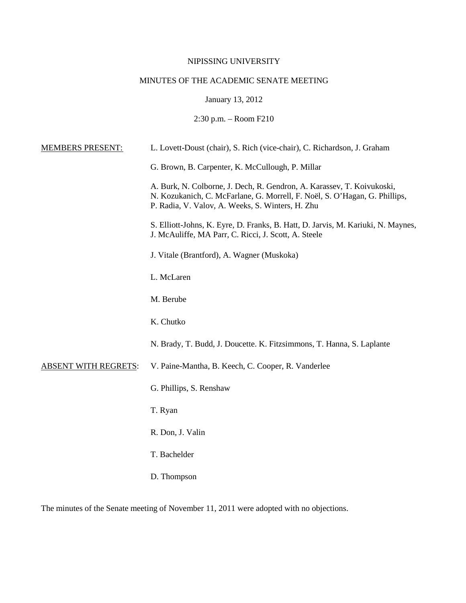## NIPISSING UNIVERSITY

# MINUTES OF THE ACADEMIC SENATE MEETING

January 13, 2012

2:30 p.m. – Room F210

| <b>MEMBERS PRESENT:</b>     | L. Lovett-Doust (chair), S. Rich (vice-chair), C. Richardson, J. Graham                                                                                                                                  |
|-----------------------------|----------------------------------------------------------------------------------------------------------------------------------------------------------------------------------------------------------|
|                             | G. Brown, B. Carpenter, K. McCullough, P. Millar                                                                                                                                                         |
|                             | A. Burk, N. Colborne, J. Dech, R. Gendron, A. Karassev, T. Koivukoski,<br>N. Kozukanich, C. McFarlane, G. Morrell, F. Noël, S. O'Hagan, G. Phillips,<br>P. Radia, V. Valov, A. Weeks, S. Winters, H. Zhu |
|                             | S. Elliott-Johns, K. Eyre, D. Franks, B. Hatt, D. Jarvis, M. Kariuki, N. Maynes,<br>J. McAuliffe, MA Parr, C. Ricci, J. Scott, A. Steele                                                                 |
|                             | J. Vitale (Brantford), A. Wagner (Muskoka)                                                                                                                                                               |
|                             | L. McLaren                                                                                                                                                                                               |
|                             | M. Berube                                                                                                                                                                                                |
|                             | K. Chutko                                                                                                                                                                                                |
|                             | N. Brady, T. Budd, J. Doucette. K. Fitzsimmons, T. Hanna, S. Laplante                                                                                                                                    |
| <b>ABSENT WITH REGRETS:</b> | V. Paine-Mantha, B. Keech, C. Cooper, R. Vanderlee                                                                                                                                                       |
|                             | G. Phillips, S. Renshaw                                                                                                                                                                                  |
|                             | T. Ryan                                                                                                                                                                                                  |
|                             | R. Don, J. Valin                                                                                                                                                                                         |
|                             | T. Bachelder                                                                                                                                                                                             |
|                             |                                                                                                                                                                                                          |

D. Thompson

The minutes of the Senate meeting of November 11, 2011 were adopted with no objections.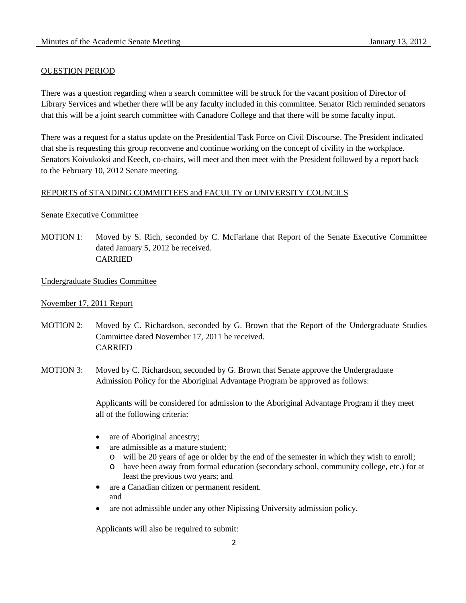#### QUESTION PERIOD

There was a question regarding when a search committee will be struck for the vacant position of Director of Library Services and whether there will be any faculty included in this committee. Senator Rich reminded senators that this will be a joint search committee with Canadore College and that there will be some faculty input.

There was a request for a status update on the Presidential Task Force on Civil Discourse. The President indicated that she is requesting this group reconvene and continue working on the concept of civility in the workplace. Senators Koivukoksi and Keech, co-chairs, will meet and then meet with the President followed by a report back to the February 10, 2012 Senate meeting.

#### REPORTS of STANDING COMMITTEES and FACULTY or UNIVERSITY COUNCILS

#### Senate Executive Committee

MOTION 1: Moved by S. Rich, seconded by C. McFarlane that Report of the Senate Executive Committee dated January 5, 2012 be received. CARRIED

#### Undergraduate Studies Committee

#### November 17, 2011 Report

- MOTION 2: Moved by C. Richardson, seconded by G. Brown that the Report of the Undergraduate Studies Committee dated November 17, 2011 be received. CARRIED
- MOTION 3: Moved by C. Richardson, seconded by G. Brown that Senate approve the Undergraduate Admission Policy for the Aboriginal Advantage Program be approved as follows:

Applicants will be considered for admission to the Aboriginal Advantage Program if they meet all of the following criteria:

- are of Aboriginal ancestry;
- are admissible as a mature student;
	- o will be 20 years of age or older by the end of the semester in which they wish to enroll;
	- o have been away from formal education (secondary school, community college, etc.) for at least the previous two years; and
- are a Canadian citizen or permanent resident. and
- are not admissible under any other Nipissing University admission policy.

Applicants will also be required to submit: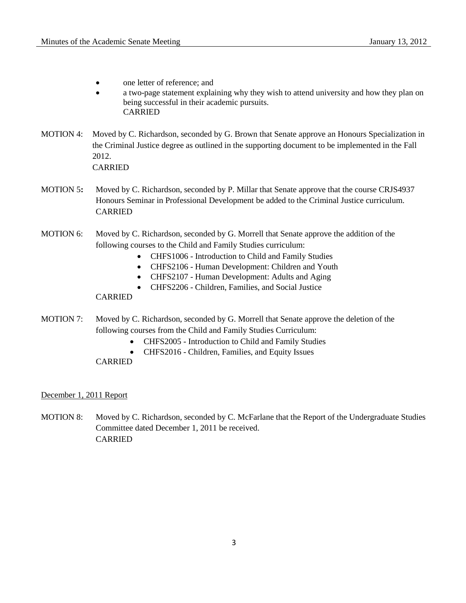- one letter of reference: and
- a two-page statement explaining why they wish to attend university and how they plan on being successful in their academic pursuits. CARRIED
- MOTION 4: Moved by C. Richardson, seconded by G. Brown that Senate approve an Honours Specialization in the Criminal Justice degree as outlined in the supporting document to be implemented in the Fall 2012. CARRIED
- MOTION 5**:** Moved by C. Richardson, seconded by P. Millar that Senate approve that the course CRJS4937 Honours Seminar in Professional Development be added to the Criminal Justice curriculum. **CARRIED**
- MOTION 6: Moved by C. Richardson, seconded by G. Morrell that Senate approve the addition of the following courses to the Child and Family Studies curriculum:
	- CHFS1006 Introduction to Child and Family Studies
	- CHFS2106 Human Development: Children and Youth
	- CHFS2107 Human Development: Adults and Aging
	- CHFS2206 Children, Families, and Social Justice

## CARRIED

- MOTION 7: Moved by C. Richardson, seconded by G. Morrell that Senate approve the deletion of the following courses from the Child and Family Studies Curriculum:
	- CHFS2005 Introduction to Child and Family Studies
	- CHFS2016 Children, Families, and Equity Issues

CARRIED

#### December 1, 2011 Report

MOTION 8: Moved by C. Richardson, seconded by C. McFarlane that the Report of the Undergraduate Studies Committee dated December 1, 2011 be received. CARRIED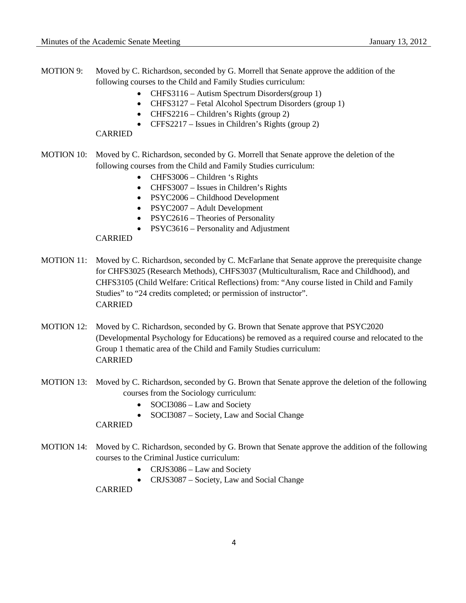MOTION 9: Moved by C. Richardson, seconded by G. Morrell that Senate approve the addition of the following courses to the Child and Family Studies curriculum:

- CHFS3116 Autism Spectrum Disorders(group 1)
- CHFS3127 Fetal Alcohol Spectrum Disorders (group 1)
- CHFS2216 Children's Rights (group 2)
- CFFS2217 Issues in Children's Rights (group 2)

### CARRIED

- MOTION 10: Moved by C. Richardson, seconded by G. Morrell that Senate approve the deletion of the following courses from the Child and Family Studies curriculum:
	- CHFS3006 Children 's Rights
	- CHFS3007 Issues in Children's Rights
	- PSYC2006 Childhood Development
	- PSYC2007 Adult Development
	- PSYC2616 Theories of Personality
	- PSYC3616 Personality and Adjustment

## CARRIED

- MOTION 11: Moved by C. Richardson, seconded by C. McFarlane that Senate approve the prerequisite change for CHFS3025 (Research Methods), CHFS3037 (Multiculturalism, Race and Childhood), and CHFS3105 (Child Welfare: Critical Reflections) from: "Any course listed in Child and Family Studies" to "24 credits completed; or permission of instructor". CARRIED
- MOTION 12: Moved by C. Richardson, seconded by G. Brown that Senate approve that PSYC2020 (Developmental Psychology for Educations) be removed as a required course and relocated to the Group 1 thematic area of the Child and Family Studies curriculum: CARRIED
- MOTION 13: Moved by C. Richardson, seconded by G. Brown that Senate approve the deletion of the following courses from the Sociology curriculum:
	- SOCI3086 Law and Society
	- SOCI3087 Society, Law and Social Change

## CARRIED

- MOTION 14: Moved by C. Richardson, seconded by G. Brown that Senate approve the addition of the following courses to the Criminal Justice curriculum:
	- CRJS3086 Law and Society
	- CRJS3087 Society, Law and Social Change

## CARRIED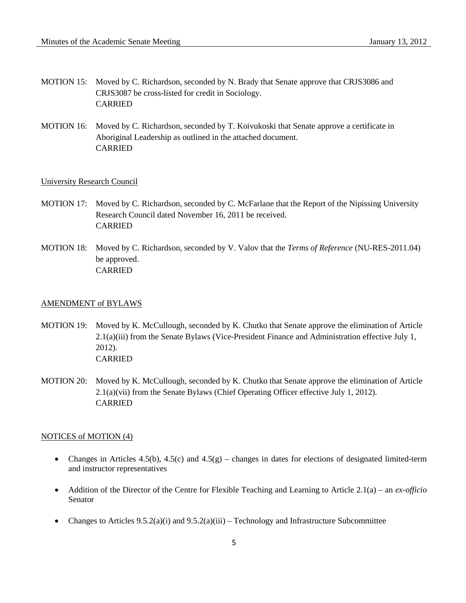- MOTION 15: Moved by C. Richardson, seconded by N. Brady that Senate approve that CRJS3086 and CRJS3087 be cross-listed for credit in Sociology. CARRIED
- MOTION 16: Moved by C. Richardson, seconded by T. Koivukoski that Senate approve a certificate in Aboriginal Leadership as outlined in the attached document. CARRIED

#### University Research Council

- MOTION 17: Moved by C. Richardson, seconded by C. McFarlane that the Report of the Nipissing University Research Council dated November 16, 2011 be received. CARRIED
- MOTION 18: Moved by C. Richardson, seconded by V. Valov that the *Terms of Reference* (NU-RES-2011.04) be approved. CARRIED

#### AMENDMENT of BYLAWS

- MOTION 19: Moved by K. McCullough, seconded by K. Chutko that Senate approve the elimination of Article 2.1(a)(iii) from the Senate Bylaws (Vice-President Finance and Administration effective July 1, 2012). CARRIED
- MOTION 20: Moved by K. McCullough, seconded by K. Chutko that Senate approve the elimination of Article 2.1(a)(vii) from the Senate Bylaws (Chief Operating Officer effective July 1, 2012). CARRIED

#### NOTICES of MOTION (4)

- Changes in Articles 4.5(b), 4.5(c) and 4.5(g) changes in dates for elections of designated limited-term and instructor representatives
- Addition of the Director of the Centre for Flexible Teaching and Learning to Article 2.1(a) an *ex-officio* Senator
- Changes to Articles  $9.5.2(a)(i)$  and  $9.5.2(a)(iii)$  Technology and Infrastructure Subcommittee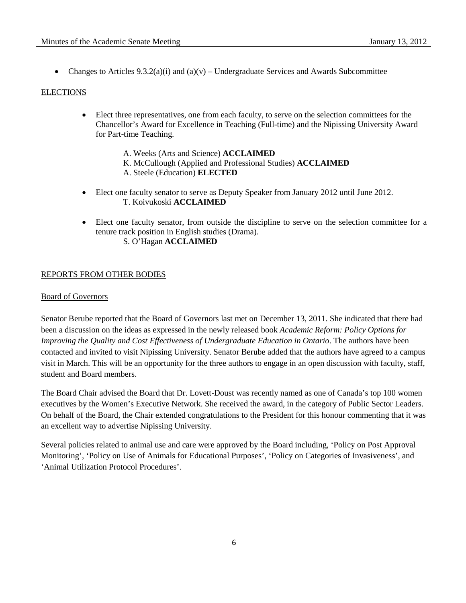• Changes to Articles  $9.3.2(a)(i)$  and  $(a)(v)$  – Undergraduate Services and Awards Subcommittee

## ELECTIONS

- Elect three representatives, one from each faculty, to serve on the selection committees for the Chancellor's Award for Excellence in Teaching (Full-time) and the Nipissing University Award for Part-time Teaching.
	- A. Weeks (Arts and Science) **ACCLAIMED** K. McCullough (Applied and Professional Studies) **ACCLAIMED**
	- A. Steele (Education) **ELECTED**
- Elect one faculty senator to serve as Deputy Speaker from January 2012 until June 2012. T. Koivukoski **ACCLAIMED**
- Elect one faculty senator, from outside the discipline to serve on the selection committee for a tenure track position in English studies (Drama). S. O'Hagan **ACCLAIMED**

### REPORTS FROM OTHER BODIES

## Board of Governors

Senator Berube reported that the Board of Governors last met on December 13, 2011. She indicated that there had been a discussion on the ideas as expressed in the newly released book *Academic Reform: Policy Options for Improving the Quality and Cost Effectiveness of Undergraduate Education in Ontario.* The authors have been contacted and invited to visit Nipissing University. Senator Berube added that the authors have agreed to a campus visit in March. This will be an opportunity for the three authors to engage in an open discussion with faculty, staff, student and Board members.

The Board Chair advised the Board that Dr. Lovett-Doust was recently named as one of Canada's top 100 women executives by the Women's Executive Network. She received the award, in the category of Public Sector Leaders. On behalf of the Board, the Chair extended congratulations to the President for this honour commenting that it was an excellent way to advertise Nipissing University.

Several policies related to animal use and care were approved by the Board including, 'Policy on Post Approval Monitoring', 'Policy on Use of Animals for Educational Purposes', 'Policy on Categories of Invasiveness', and 'Animal Utilization Protocol Procedures'.